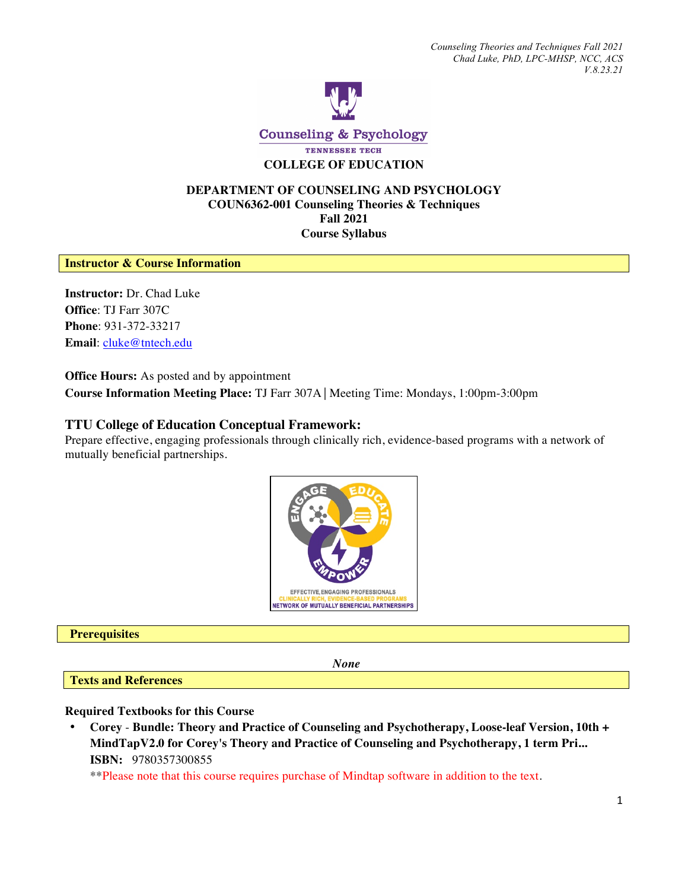

Counseling & Psychology TENNESSEE TECH **COLLEGE OF EDUCATION**

## **DEPARTMENT OF COUNSELING AND PSYCHOLOGY COUN6362-001 Counseling Theories & Techniques Fall 2021 Course Syllabus**

### **Instructor & Course Information**

**Instructor:** Dr. Chad Luke **Office**: TJ Farr 307C **Phone**: 931-372-33217 **Email**: cluke@tntech.edu

**Office Hours:** As posted and by appointment

**Course Information Meeting Place:** TJ Farr 307A⎟ Meeting Time: Mondays, 1:00pm-3:00pm

# **TTU College of Education Conceptual Framework:**

Prepare effective, engaging professionals through clinically rich, evidence-based programs with a network of mutually beneficial partnerships.



#### **Prerequisites**

*None* 

**Texts and References**

**Required Textbooks for this Course**

• **Corey** - **Bundle: Theory and Practice of Counseling and Psychotherapy, Loose-leaf Version, 10th + MindTapV2.0 for Corey's Theory and Practice of Counseling and Psychotherapy, 1 term Pri... ISBN:** 9780357300855

\*\*Please note that this course requires purchase of Mindtap software in addition to the text.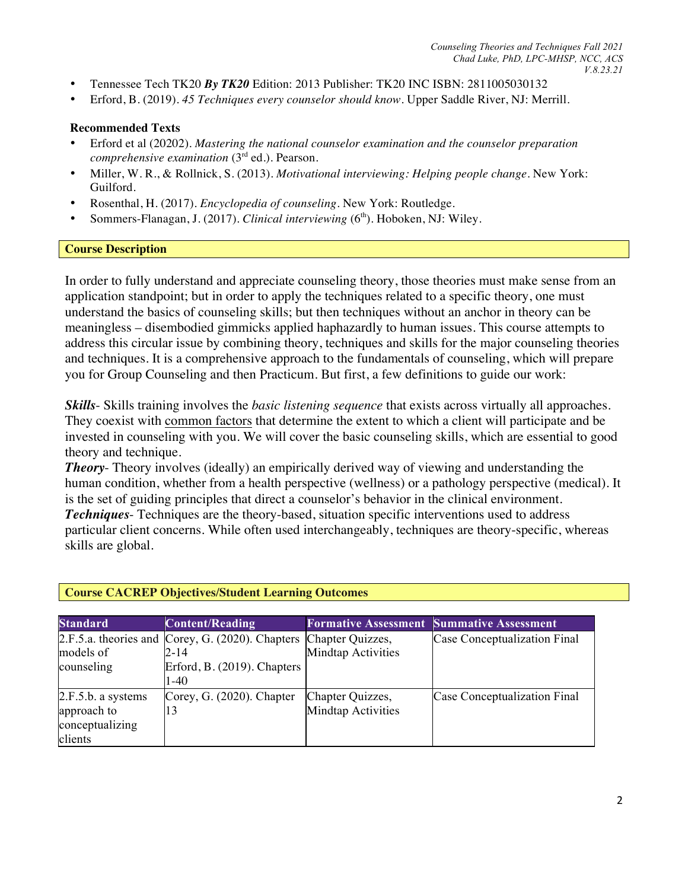- Tennessee Tech TK20 *By TK20* Edition: 2013 Publisher: TK20 INC ISBN: 2811005030132
- Erford, B. (2019). *45 Techniques every counselor should know.* Upper Saddle River, NJ: Merrill.

### **Recommended Texts**

- Erford et al (20202). *Mastering the national counselor examination and the counselor preparation comprehensive examination* (3rd ed.). Pearson.
- Miller, W. R., & Rollnick, S. (2013). *Motivational interviewing: Helping people change*. New York: Guilford.
- Rosenthal, H. (2017). *Encyclopedia of counseling*. New York: Routledge.
- Sommers-Flanagan, J. (2017). *Clinical interviewing* (6<sup>th</sup>). Hoboken, NJ: Wiley.

### **Course Description**

In order to fully understand and appreciate counseling theory, those theories must make sense from an application standpoint; but in order to apply the techniques related to a specific theory, one must understand the basics of counseling skills; but then techniques without an anchor in theory can be meaningless – disembodied gimmicks applied haphazardly to human issues. This course attempts to address this circular issue by combining theory, techniques and skills for the major counseling theories and techniques. It is a comprehensive approach to the fundamentals of counseling, which will prepare you for Group Counseling and then Practicum. But first, a few definitions to guide our work:

*Skills*- Skills training involves the *basic listening sequence* that exists across virtually all approaches. They coexist with common factors that determine the extent to which a client will participate and be invested in counseling with you. We will cover the basic counseling skills, which are essential to good theory and technique.

*Theory*- Theory involves (ideally) an empirically derived way of viewing and understanding the human condition, whether from a health perspective (wellness) or a pathology perspective (medical). It is the set of guiding principles that direct a counselor's behavior in the clinical environment. *Techniques*- Techniques are the theory-based, situation specific interventions used to address particular client concerns. While often used interchangeably, techniques are theory-specific, whereas skills are global.

| <b>Standard</b>                                                 | <b>Content/Reading</b>                                                    |                                               | <b>Formative Assessment Summative Assessment</b> |
|-----------------------------------------------------------------|---------------------------------------------------------------------------|-----------------------------------------------|--------------------------------------------------|
| models of                                                       | 2.F.5.a. theories and Corey, G. (2020). Chapters Chapter Quizzes,<br>2-14 | <b>Mindtap Activities</b>                     | Case Conceptualization Final                     |
| counseling                                                      | Erford, B. (2019). Chapters<br>$1-40$                                     |                                               |                                                  |
| 2.F.5.b. a systems<br>approach to<br>conceptualizing<br>clients | Corey, G. (2020). Chapter<br>13                                           | Chapter Quizzes,<br><b>Mindtap Activities</b> | Case Conceptualization Final                     |

# **Course CACREP Objectives/Student Learning Outcomes**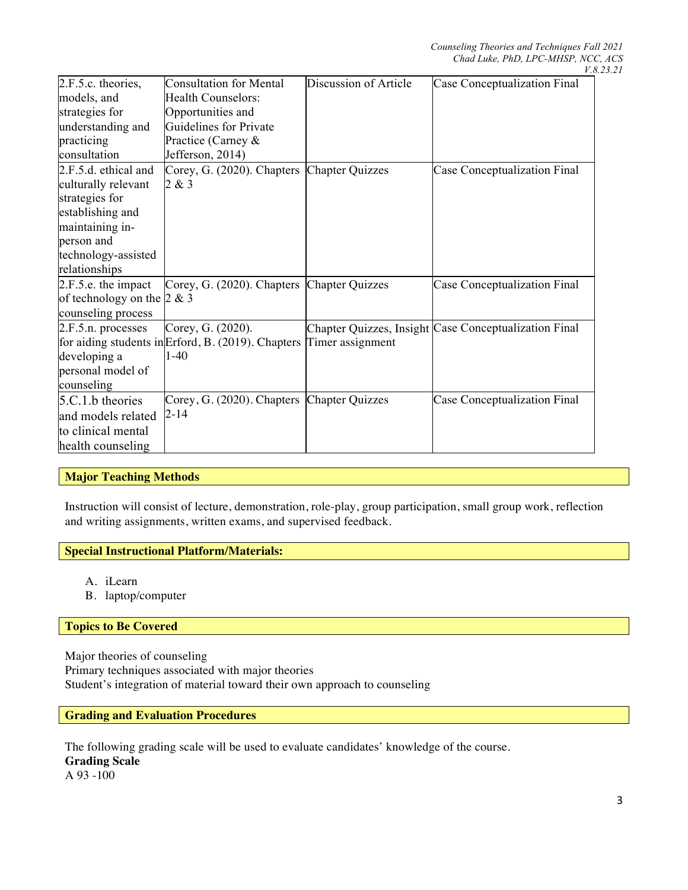|                              |                                                                        |                        | $\mathbf{v}$ .                                        |
|------------------------------|------------------------------------------------------------------------|------------------------|-------------------------------------------------------|
| 2.F.5.c. theories,           | <b>Consultation for Mental</b>                                         | Discussion of Article  | Case Conceptualization Final                          |
| models, and                  | Health Counselors:                                                     |                        |                                                       |
| strategies for               | Opportunities and                                                      |                        |                                                       |
| understanding and            | Guidelines for Private                                                 |                        |                                                       |
| practicing                   | Practice (Carney &                                                     |                        |                                                       |
| consultation                 | Jefferson, 2014)                                                       |                        |                                                       |
| 2.F.5.d. ethical and         | Corey, G. (2020). Chapters                                             | <b>Chapter Quizzes</b> | Case Conceptualization Final                          |
| culturally relevant          | 2 & 3                                                                  |                        |                                                       |
| strategies for               |                                                                        |                        |                                                       |
| establishing and             |                                                                        |                        |                                                       |
| maintaining in-              |                                                                        |                        |                                                       |
| person and                   |                                                                        |                        |                                                       |
| technology-assisted          |                                                                        |                        |                                                       |
| relationships                |                                                                        |                        |                                                       |
| 2.F.5.e. the impact          | Corey, G. (2020). Chapters Chapter Quizzes                             |                        | <b>Case Conceptualization Final</b>                   |
| of technology on the $2 & 3$ |                                                                        |                        |                                                       |
| counseling process           |                                                                        |                        |                                                       |
| 2.F.5.n. processes           | Corey, G. (2020).                                                      |                        | Chapter Quizzes, Insight Case Conceptualization Final |
|                              | for aiding students in Erford, B. $(2019)$ . Chapters Timer assignment |                        |                                                       |
| developing a                 | $1-40$                                                                 |                        |                                                       |
| personal model of            |                                                                        |                        |                                                       |
| counseling                   |                                                                        |                        |                                                       |
| $5.C.1.b$ theories           | Corey, G. (2020). Chapters Chapter Quizzes                             |                        | <b>Case Conceptualization Final</b>                   |
| and models related           | $2 - 14$                                                               |                        |                                                       |
| to clinical mental           |                                                                        |                        |                                                       |
| health counseling            |                                                                        |                        |                                                       |
|                              |                                                                        |                        |                                                       |

### **Major Teaching Methods**

Instruction will consist of lecture, demonstration, role-play, group participation, small group work, reflection and writing assignments, written exams, and supervised feedback.

### **Special Instructional Platform/Materials:**

- A. iLearn
- B. laptop/computer

#### **Topics to Be Covered**

Major theories of counseling Primary techniques associated with major theories Student's integration of material toward their own approach to counseling

#### **Grading and Evaluation Procedures**

The following grading scale will be used to evaluate candidates' knowledge of the course. **Grading Scale** A 93 -100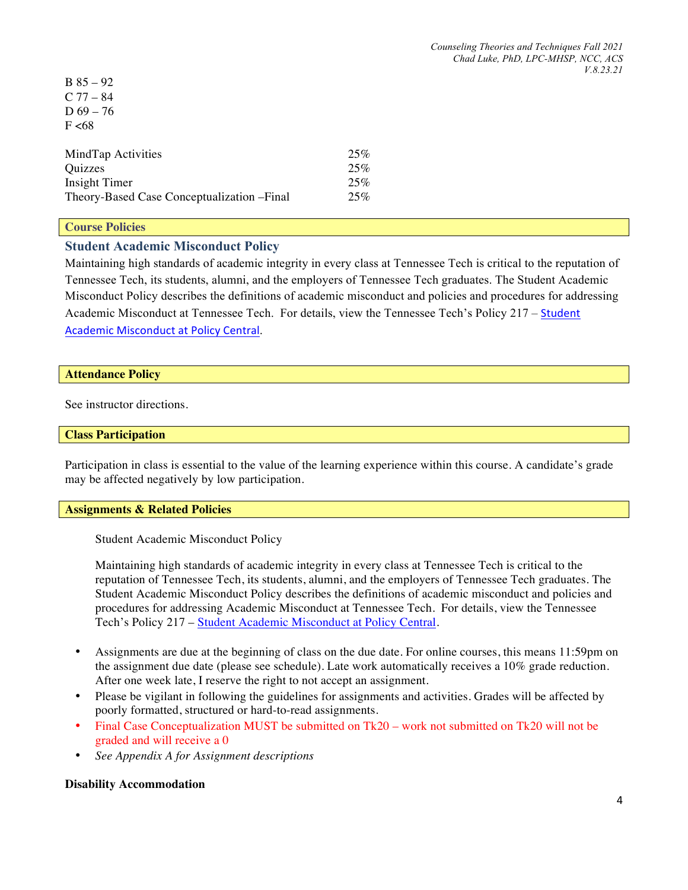| $B \times 2 - 92$                           |     |
|---------------------------------------------|-----|
| $C$ 77 – 84                                 |     |
| D $69 - 76$                                 |     |
| F < 68                                      |     |
|                                             |     |
| MindTap Activities                          | 25% |
| Quizzes                                     | 25% |
| Insight Timer                               | 25% |
| Theory-Based Case Conceptualization - Final | 25% |
|                                             |     |

#### **Course Policies**

 $B = 95$ 

# **Student Academic Misconduct Policy**

Maintaining high standards of academic integrity in every class at Tennessee Tech is critical to the reputation of Tennessee Tech, its students, alumni, and the employers of Tennessee Tech graduates. The Student Academic Misconduct Policy describes the definitions of academic misconduct and policies and procedures for addressing Academic Misconduct at Tennessee Tech. For details, view the Tennessee Tech's Policy 217 – Student Academic Misconduct at Policy Central.

### **Attendance Policy**

See instructor directions.

#### **Class Participation**

Participation in class is essential to the value of the learning experience within this course. A candidate's grade may be affected negatively by low participation.

#### **Assignments & Related Policies**

Student Academic Misconduct Policy

Maintaining high standards of academic integrity in every class at Tennessee Tech is critical to the reputation of Tennessee Tech, its students, alumni, and the employers of Tennessee Tech graduates. The Student Academic Misconduct Policy describes the definitions of academic misconduct and policies and procedures for addressing Academic Misconduct at Tennessee Tech. For details, view the Tennessee Tech's Policy 217 – Student Academic Misconduct at Policy Central.

- Assignments are due at the beginning of class on the due date. For online courses, this means 11:59pm on the assignment due date (please see schedule). Late work automatically receives a 10% grade reduction. After one week late, I reserve the right to not accept an assignment.
- Please be vigilant in following the guidelines for assignments and activities. Grades will be affected by poorly formatted, structured or hard-to-read assignments.
- Final Case Conceptualization MUST be submitted on Tk20 work not submitted on Tk20 will not be graded and will receive a 0
- *See Appendix A for Assignment descriptions*

#### **Disability Accommodation**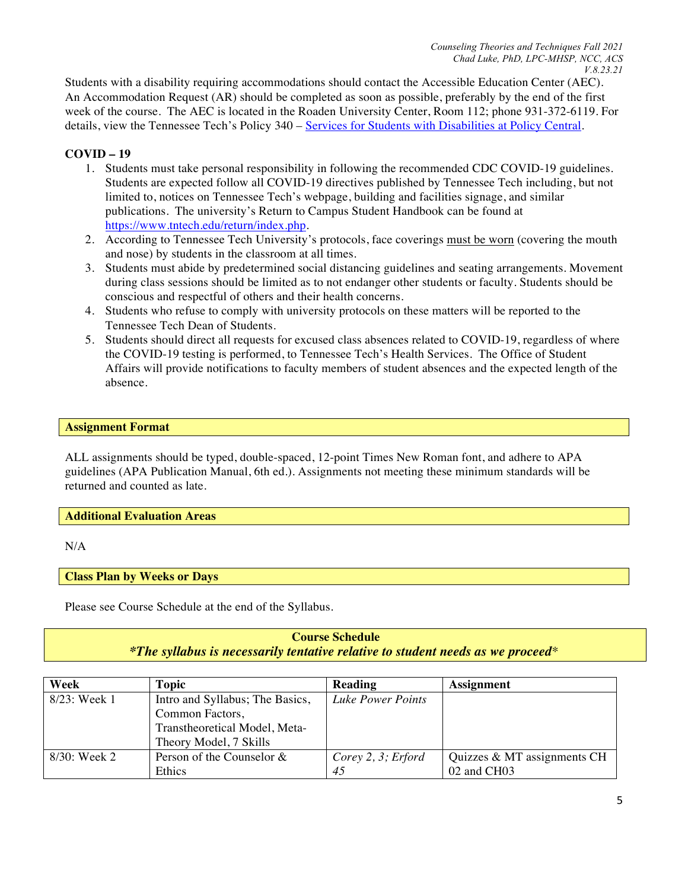Students with a disability requiring accommodations should contact the Accessible Education Center (AEC). An Accommodation Request (AR) should be completed as soon as possible, preferably by the end of the first week of the course. The AEC is located in the Roaden University Center, Room 112; phone 931-372-6119. For details, view the Tennessee Tech's Policy 340 – Services for Students with Disabilities at Policy Central.

# **COVID – 19**

- 1. Students must take personal responsibility in following the recommended CDC COVID-19 guidelines. Students are expected follow all COVID-19 directives published by Tennessee Tech including, but not limited to, notices on Tennessee Tech's webpage, building and facilities signage, and similar publications. The university's Return to Campus Student Handbook can be found at https://www.tntech.edu/return/index.php.
- 2. According to Tennessee Tech University's protocols, face coverings must be worn (covering the mouth and nose) by students in the classroom at all times.
- 3. Students must abide by predetermined social distancing guidelines and seating arrangements. Movement during class sessions should be limited as to not endanger other students or faculty. Students should be conscious and respectful of others and their health concerns.
- 4. Students who refuse to comply with university protocols on these matters will be reported to the Tennessee Tech Dean of Students.
- 5. Students should direct all requests for excused class absences related to COVID-19, regardless of where the COVID-19 testing is performed, to Tennessee Tech's Health Services. The Office of Student Affairs will provide notifications to faculty members of student absences and the expected length of the absence.

### **Assignment Format**

ALL assignments should be typed, double-spaced, 12-point Times New Roman font, and adhere to APA guidelines (APA Publication Manual, 6th ed.). Assignments not meeting these minimum standards will be returned and counted as late.

### **Additional Evaluation Areas**

N/A

### **Class Plan by Weeks or Days**

Please see Course Schedule at the end of the Syllabus.

# **Course Schedule** *\*The syllabus is necessarily tentative relative to student needs as we proceed\**

| Week            | Topic                           | Reading               | <b>Assignment</b>           |
|-----------------|---------------------------------|-----------------------|-----------------------------|
| 8/23: Week 1    | Intro and Syllabus; The Basics, | Luke Power Points     |                             |
|                 | Common Factors,                 |                       |                             |
|                 | Transtheoretical Model, Meta-   |                       |                             |
|                 | Theory Model, 7 Skills          |                       |                             |
| $8/30$ : Week 2 | Person of the Counselor $\&$    | Corey $2, 3$ ; Erford | Quizzes & MT assignments CH |
|                 | <b>Ethics</b>                   | 45                    | 02 and CH03                 |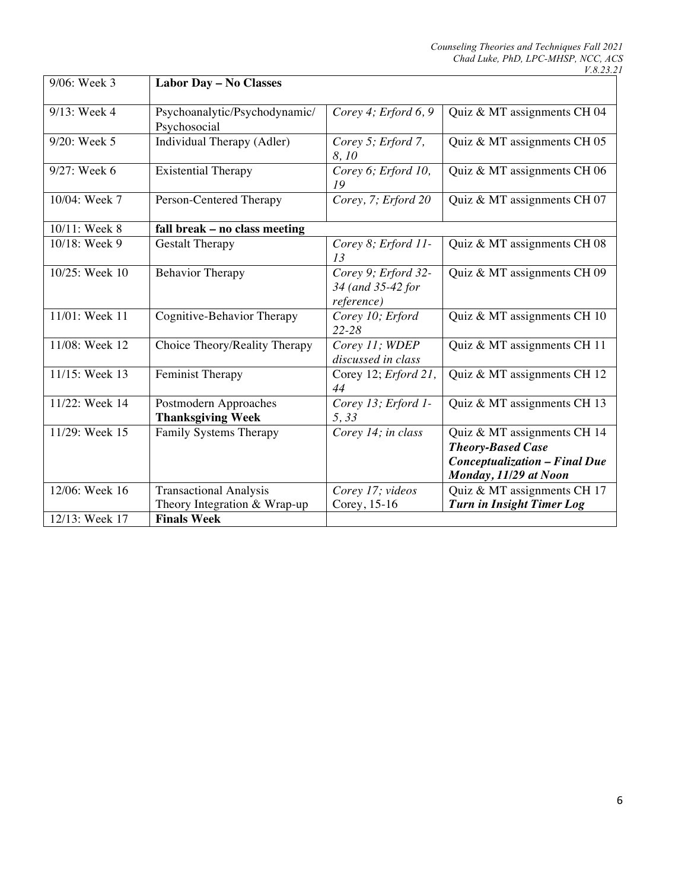| 9/06: Week 3   | Labor Day - No Classes                                        |                                                        |                                                                                                                          |
|----------------|---------------------------------------------------------------|--------------------------------------------------------|--------------------------------------------------------------------------------------------------------------------------|
| 9/13: Week 4   | Psychoanalytic/Psychodynamic/<br>Psychosocial                 | Corey 4; Erford $6, 9$                                 | Quiz & MT assignments CH 04                                                                                              |
| 9/20: Week 5   | Individual Therapy (Adler)                                    | Corey 5; Erford 7,<br>8,10                             | Quiz & MT assignments CH 05                                                                                              |
| 9/27: Week 6   | <b>Existential Therapy</b>                                    | Corey 6; Erford 10,<br>19                              | Quiz & MT assignments CH 06                                                                                              |
| 10/04: Week 7  | Person-Centered Therapy                                       | Corey, 7; Erford 20                                    | Quiz & MT assignments CH 07                                                                                              |
| 10/11: Week 8  | fall break - no class meeting                                 |                                                        |                                                                                                                          |
| 10/18: Week 9  | <b>Gestalt Therapy</b>                                        | Corey 8; Erford 11-<br>13                              | Quiz & MT assignments CH 08                                                                                              |
| 10/25: Week 10 | <b>Behavior Therapy</b>                                       | Corey 9; Erford 32-<br>34 (and 35-42 for<br>reference) | Quiz & MT assignments CH 09                                                                                              |
| 11/01: Week 11 | Cognitive-Behavior Therapy                                    | Corey 10; Erford<br>$22 - 28$                          | Quiz & MT assignments CH 10                                                                                              |
| 11/08: Week 12 | Choice Theory/Reality Therapy                                 | Corey 11; WDEP<br>discussed in class                   | Quiz & MT assignments CH 11                                                                                              |
| 11/15: Week 13 | Feminist Therapy                                              | Corey 12; Erford 21,<br>44                             | Quiz & MT assignments CH 12                                                                                              |
| 11/22: Week 14 | Postmodern Approaches<br><b>Thanksgiving Week</b>             | Corey 13; Erford 1-<br>5,33                            | Quiz & MT assignments CH 13                                                                                              |
| 11/29: Week 15 | Family Systems Therapy                                        | Corey 14; in class                                     | Quiz & MT assignments CH 14<br><b>Theory-Based Case</b><br><b>Conceptualization - Final Due</b><br>Monday, 11/29 at Noon |
| 12/06: Week 16 | <b>Transactional Analysis</b><br>Theory Integration & Wrap-up | Corey 17; videos<br>Corey, 15-16                       | Quiz & MT assignments CH 17<br><b>Turn in Insight Timer Log</b>                                                          |
| 12/13: Week 17 | <b>Finals Week</b>                                            |                                                        |                                                                                                                          |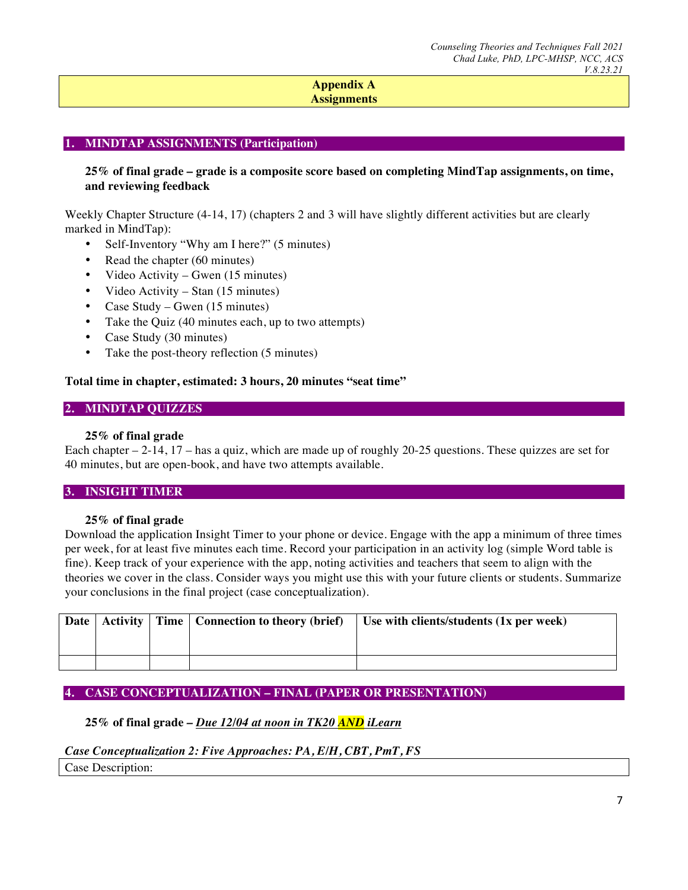### **Appendix A Assignments**

### **1. MINDTAP ASSIGNMENTS (Participation)**

### **25% of final grade – grade is a composite score based on completing MindTap assignments, on time, and reviewing feedback**

Weekly Chapter Structure (4-14, 17) (chapters 2 and 3 will have slightly different activities but are clearly marked in MindTap):

- Self-Inventory "Why am I here?" (5 minutes)
- Read the chapter (60 minutes)
- Video Activity Gwen (15 minutes)
- Video Activity Stan (15 minutes)
- Case Study Gwen (15 minutes)
- Take the Quiz (40 minutes each, up to two attempts)
- Case Study (30 minutes)
- Take the post-theory reflection (5 minutes)

#### **Total time in chapter, estimated: 3 hours, 20 minutes "seat time"**

#### **2. MINDTAP QUIZZES**

#### **25% of final grade**

Each chapter – 2-14, 17 – has a quiz, which are made up of roughly 20-25 questions. These quizzes are set for 40 minutes, but are open-book, and have two attempts available.

# **3. INSIGHT TIMER**

#### **25% of final grade**

Download the application Insight Timer to your phone or device. Engage with the app a minimum of three times per week, for at least five minutes each time. Record your participation in an activity log (simple Word table is fine). Keep track of your experience with the app, noting activities and teachers that seem to align with the theories we cover in the class. Consider ways you might use this with your future clients or students. Summarize your conclusions in the final project (case conceptualization).

|  | Date   Activity   Time   Connection to theory (brief) | Use with clients/students $(1x$ per week) |
|--|-------------------------------------------------------|-------------------------------------------|
|  |                                                       |                                           |
|  |                                                       |                                           |

### **4. CASE CONCEPTUALIZATION – FINAL (PAPER OR PRESENTATION)**

## **25% of final grade** *– Due 12/04 at noon in TK20 AND iLearn*

#### *Case Conceptualization 2: Five Approaches: PA, E/H, CBT, PmT, FS*

Case Description: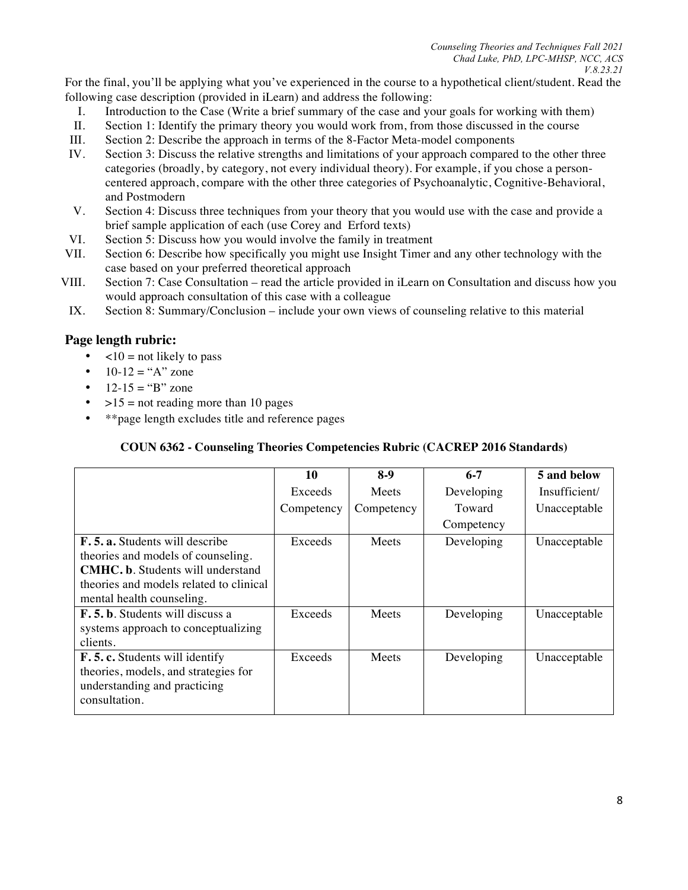For the final, you'll be applying what you've experienced in the course to a hypothetical client/student. Read the following case description (provided in iLearn) and address the following:

- I. Introduction to the Case (Write a brief summary of the case and your goals for working with them)
- II. Section 1: Identify the primary theory you would work from, from those discussed in the course
- III. Section 2: Describe the approach in terms of the 8-Factor Meta-model components
- IV. Section 3: Discuss the relative strengths and limitations of your approach compared to the other three categories (broadly, by category, not every individual theory). For example, if you chose a personcentered approach, compare with the other three categories of Psychoanalytic, Cognitive-Behavioral, and Postmodern
- V. Section 4: Discuss three techniques from your theory that you would use with the case and provide a brief sample application of each (use Corey and Erford texts)
- VI. Section 5: Discuss how you would involve the family in treatment
- VII. Section 6: Describe how specifically you might use Insight Timer and any other technology with the case based on your preferred theoretical approach
- VIII. Section 7: Case Consultation read the article provided in iLearn on Consultation and discuss how you would approach consultation of this case with a colleague
- IX. Section 8: Summary/Conclusion include your own views of counseling relative to this material

# **Page length rubric:**

- $\leq 10$  = not likely to pass
- $10-12 = "A" zone$
- $12-15 = "B" zone$
- $>15$  = not reading more than 10 pages
- \*\*page length excludes title and reference pages

### **COUN 6362 - Counseling Theories Competencies Rubric (CACREP 2016 Standards)**

|                                          | 10         | $8-9$      | $6 - 7$    | 5 and below   |
|------------------------------------------|------------|------------|------------|---------------|
|                                          | Exceeds    | Meets      | Developing | Insufficient/ |
|                                          | Competency | Competency | Toward     | Unacceptable  |
|                                          |            |            | Competency |               |
| <b>F.5. a.</b> Students will describe    | Exceeds    | Meets      | Developing | Unacceptable  |
| theories and models of counseling.       |            |            |            |               |
| <b>CMHC. b.</b> Students will understand |            |            |            |               |
| theories and models related to clinical  |            |            |            |               |
| mental health counseling.                |            |            |            |               |
| F.5.b. Students will discuss a           | Exceeds    | Meets      | Developing | Unacceptable  |
| systems approach to conceptualizing      |            |            |            |               |
| clients.                                 |            |            |            |               |
| F.5.c. Students will identify            | Exceeds    | Meets      | Developing | Unacceptable  |
| theories, models, and strategies for     |            |            |            |               |
| understanding and practicing             |            |            |            |               |
| consultation.                            |            |            |            |               |
|                                          |            |            |            |               |